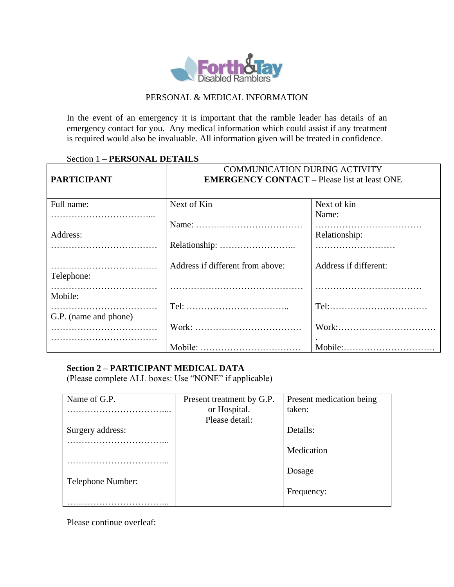

## PERSONAL & MEDICAL INFORMATION

In the event of an emergency it is important that the ramble leader has details of an emergency contact for you. Any medical information which could assist if any treatment is required would also be invaluable. All information given will be treated in confidence.

## Section 1 – **PERSONAL DETAILS**

| <b>PARTICIPANT</b>    | <b>COMMUNICATION DURING ACTIVITY</b><br><b>EMERGENCY CONTACT – Please list at least ONE</b> |                       |
|-----------------------|---------------------------------------------------------------------------------------------|-----------------------|
| Full name:            | Next of Kin                                                                                 | Next of kin           |
|                       |                                                                                             | Name:                 |
|                       |                                                                                             |                       |
| Address:              |                                                                                             | Relationship:         |
|                       |                                                                                             |                       |
| Telephone:            | Address if different from above:                                                            | Address if different: |
| Mobile:               |                                                                                             |                       |
|                       |                                                                                             |                       |
| G.P. (name and phone) |                                                                                             |                       |
|                       |                                                                                             | Work:                 |
|                       |                                                                                             |                       |
|                       |                                                                                             |                       |

## **Section 2 – PARTICIPANT MEDICAL DATA**

(Please complete ALL boxes: Use "NONE" if applicable)

| Name of G.P.      | Present treatment by G.P. | Present medication being |
|-------------------|---------------------------|--------------------------|
|                   | or Hospital.              | taken:                   |
|                   | Please detail:            |                          |
| Surgery address:  |                           | Details:                 |
|                   |                           |                          |
|                   |                           | Medication               |
|                   |                           |                          |
|                   |                           | Dosage                   |
| Telephone Number: |                           |                          |
|                   |                           | Frequency:               |
|                   |                           |                          |

Please continue overleaf: